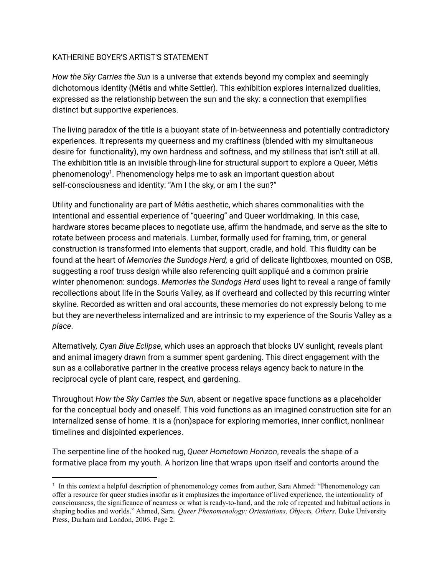## KATHERINE BOYER'S ARTIST'S STATEMENT

*How the Sky Carries the Sun* is a universe that extends beyond my complex and seemingly dichotomous identity (Métis and white Settler). This exhibition explores internalized dualities, expressed as the relationship between the sun and the sky: a connection that exemplifies distinct but supportive experiences.

The living paradox of the title is a buoyant state of in-betweenness and potentially contradictory experiences. It represents my queerness and my craftiness (blended with my simultaneous desire for functionality), my own hardness and softness, and my stillness that isn't still at all. The exhibition title is an invisible through-line for structural support to explore a Queer, Métis phenomenology<sup>1</sup>. Phenomenology helps me to ask an important question about self-consciousness and identity: "Am I the sky, or am I the sun?"

Utility and functionality are part of Métis aesthetic, which shares commonalities with the intentional and essential experience of "queering" and Queer worldmaking. In this case, hardware stores became places to negotiate use, affirm the handmade, and serve as the site to rotate between process and materials. Lumber, formally used for framing, trim, or general construction is transformed into elements that support, cradle, and hold. This fluidity can be found at the heart of *Memories the Sundogs Herd,* a grid of delicate lightboxes, mounted on OSB, suggesting a roof truss design while also referencing quilt appliqué and a common prairie winter phenomenon: sundogs. *Memories the Sundogs Herd* uses light to reveal a range of family recollections about life in the Souris Valley, as if overheard and collected by this recurring winter skyline. Recorded as written and oral accounts, these memories do not expressly belong to me but they are nevertheless internalized and are intrinsic to my experience of the Souris Valley as a *place*.

Alternatively*, Cyan Blue Eclipse*, which uses an approach that blocks UV sunlight, reveals plant and animal imagery drawn from a summer spent gardening. This direct engagement with the sun as a collaborative partner in the creative process relays agency back to nature in the reciprocal cycle of plant care, respect, and gardening.

Throughout *How the Sky Carries the Sun*, absent or negative space functions as a placeholder for the conceptual body and oneself. This void functions as an imagined construction site for an internalized sense of home. It is a (non)space for exploring memories, inner conflict, nonlinear timelines and disjointed experiences.

The serpentine line of the hooked rug, *Queer Hometown Horizon*, reveals the shape of a formative place from my youth. A horizon line that wraps upon itself and contorts around the

<sup>&</sup>lt;sup>1</sup> In this context a helpful description of phenomenology comes from author, Sara Ahmed: "Phenomenology can offer a resource for queer studies insofar as it emphasizes the importance of lived experience, the intentionality of consciousness, the significance of nearness or what is ready-to-hand, and the role of repeated and habitual actions in shaping bodies and worlds." Ahmed, Sara. *Queer Phenomenology: Orientations, Objects, Others.* Duke University Press, Durham and London, 2006. Page 2.